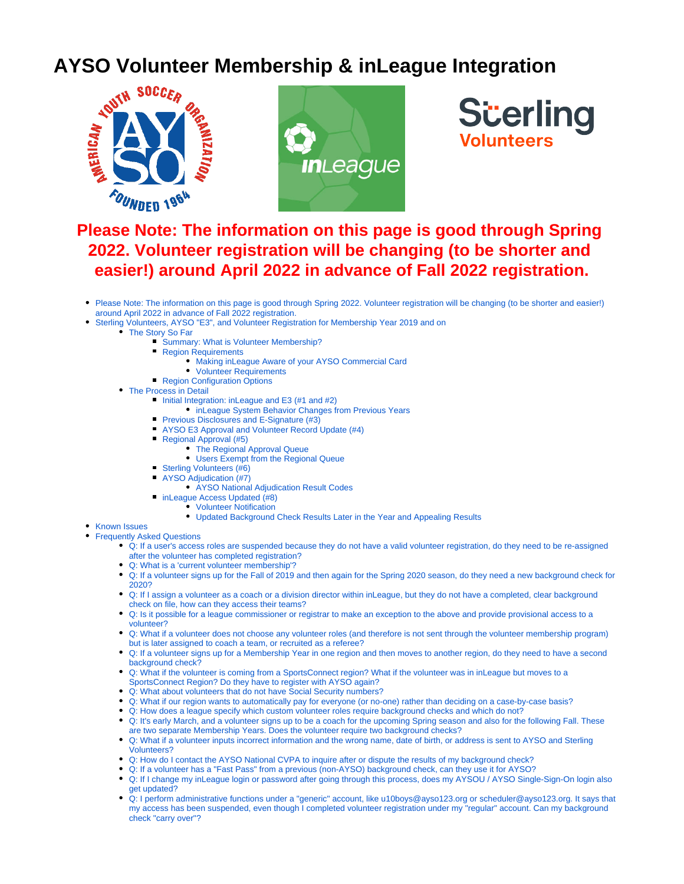# **AYSO Volunteer Membership & inLeague Integration**<br>And the section of the section of the section of the section of the section of the section of the section of the section of the section of the section of the section of th







# <span id="page-0-0"></span>**Please Note: The information on this page is good through Spring 2022. Volunteer registration will be changing (to be shorter and easier!) around April 2022 in advance of Fall 2022 registration.**

- Please Note: The information on this page is good through Spring 2022. Volunteer registration will be changing (to be shorter and easier!) [around April 2022 in advance of Fall 2022 registration.](#page-0-0)
- [Sterling Volunteers, AYSO "E3", and Volunteer Registration for Membership Year 2019 and on](#page-0-1)
	- [The Story So Far](#page-1-0)
		- **Summary: What is Volunteer Membership?** 
			- **[Region Requirements](#page-1-2)** 
				- [Making inLeague Aware of your AYSO Commercial Card](#page-1-3)
				- [Volunteer Requirements](#page-1-4)
		- **[Region Configuration Options](#page-1-5)**
		- [The Process in Detail](#page-1-6)
			- [Initial Integration: inLeague and E3 \(#1 and #2\)](#page-2-0)
				- [inLeague System Behavior Changes from Previous Years](#page-2-1)
			- **[Previous Disclosures and E-Signature \(#3\)](#page-2-2)**
			- [AYSO E3 Approval and Volunteer Record Update \(#4\)](#page-2-3)
			- [Regional Approval \(#5\)](#page-3-0)
				- [The Regional Approval Queue](#page-3-1)
				- [Users Exempt from the Regional Queue](#page-3-2)
			- [Sterling Volunteers \(#6\)](#page-3-3) 
				- [AYSO Adjudication \(#7\)](#page-4-0)
					- [AYSO National Adjudication Result Codes](#page-4-1)
			- **[inLeague Access Updated \(#8\)](#page-4-2)** 
				- [Volunteer Notification](#page-4-3)
					- [Updated Background Check Results Later in the Year and Appealing Results](#page-4-4)
- [Known Issues](#page-4-5)
- <span id="page-0-1"></span>[Frequently Asked Questions](#page-5-0)
	- [Q: If a user's access roles are suspended because they do not have a valid volunteer registration, do they need to be re-assigned](#page-5-1)  [after the volunteer has completed registration?](#page-5-1)
	- [Q: What is a 'current volunteer membership'?](#page-5-2)
	- [Q: If a volunteer signs up for the Fall of 2019 and then again for the Spring 2020 season, do they need a new background check for](#page-5-3)  [2020?](#page-5-3)
	- [Q: If I assign a volunteer as a coach or a division director within inLeague, but they do not have a completed, clear background](#page-5-4)  [check on file, how can they access their teams?](#page-5-4)
	- [Q: Is it possible for a league commissioner or registrar to make an exception to the above and provide provisional access to a](#page-5-5)  [volunteer?](#page-5-5)
	- [Q: What if a volunteer does not choose any volunteer roles \(and therefore is not sent through the volunteer membership program\)](#page-5-6)  [but is later assigned to coach a team, or recruited as a referee?](#page-5-6)
	- [Q: If a volunteer signs up for a Membership Year in one region and then moves to another region, do they need to have a second](#page-5-7)  [background check?](#page-5-7)
	- [Q: What if the volunteer is coming from a SportsConnect region? What if the volunteer was in inLeague but moves to a](#page-5-8)  [SportsConnect Region? Do they have to register with AYSO again?](#page-5-8)
	- [Q: What about volunteers that do not have Social Security numbers?](#page-5-9)
	- [Q: What if our region wants to automatically pay for everyone \(or no-one\) rather than deciding on a case-by-case basis?](#page-5-10)
	- [Q: How does a league specify which custom volunteer roles require background checks and which do not?](#page-6-0)
	- [Q: It's early March, and a volunteer signs up to be a coach for the upcoming Spring season and also for the following Fall. These](#page-6-1)  [are two separate Membership Years. Does the volunteer require two background checks?](#page-6-1)
	- [Q: What if a volunteer inputs incorrect information and the wrong name, date of birth, or address is sent to AYSO and Sterling](#page-6-2)  [Volunteers?](#page-6-2)
	- [Q: How do I contact the AYSO National CVPA to inquire after or dispute the results of my background check?](#page-6-3)
	- [Q: If a volunteer has a "Fast Pass" from a previous \(non-AYSO\) background check, can they use it for AYSO?](#page-6-4)
	- [Q: If I change my inLeague login or password after going through this process, does my AYSOU / AYSO Single-Sign-On login also](#page-6-5)  [get updated?](#page-6-5)
	- [Q: I perform administrative functions under a "generic" account, like u10boys@ayso123.org or scheduler@ayso123.org. It says that](#page-6-6)  [my access has been suspended, even though I completed volunteer registration under my "regular" account. Can my background](#page-6-6)  [check "carry over"?](#page-6-6)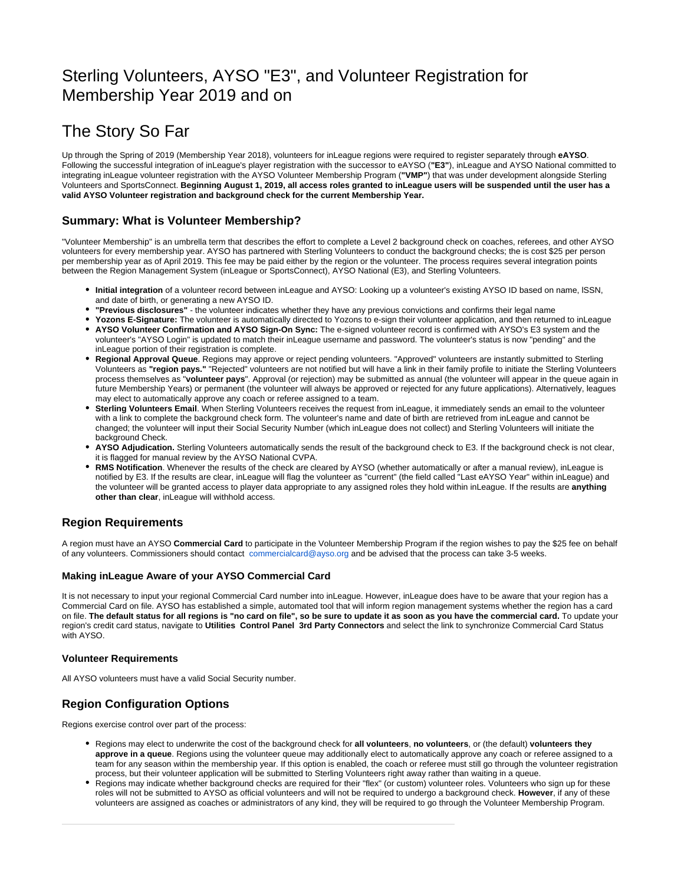# Sterling Volunteers, AYSO "E3", and Volunteer Registration for Membership Year 2019 and on

# <span id="page-1-0"></span>The Story So Far

Up through the Spring of 2019 (Membership Year 2018), volunteers for inLeague regions were required to register separately through **eAYSO**. Following the successful integration of inLeague's player registration with the successor to eAYSO (**"E3"**), inLeague and AYSO National committed to integrating inLeague volunteer registration with the AYSO Volunteer Membership Program (**"VMP"**) that was under development alongside Sterling Volunteers and SportsConnect. **Beginning August 1, 2019, all access roles granted to inLeague users will be suspended until the user has a valid AYSO Volunteer registration and background check for the current Membership Year.**

## <span id="page-1-1"></span>**Summary: What is Volunteer Membership?**

"Volunteer Membership" is an umbrella term that describes the effort to complete a Level 2 background check on coaches, referees, and other AYSO volunteers for every membership year. AYSO has partnered with Sterling Volunteers to conduct the background checks; the is cost \$25 per person per membership year as of April 2019. This fee may be paid either by the region or the volunteer. The process requires several integration points between the Region Management System (inLeague or SportsConnect), AYSO National (E3), and Sterling Volunteers.

- **Initial integration** of a volunteer record between inLeague and AYSO: Looking up a volunteer's existing AYSO ID based on name, lSSN, and date of birth, or generating a new AYSO ID.
- **"Previous disclosures"** the volunteer indicates whether they have any previous convictions and confirms their legal name
- **Yozons E-Signature:** The volunteer is automatically directed to Yozons to e-sign their volunteer application, and then returned to inLeague
- **AYSO Volunteer Confirmation and AYSO Sign-On Sync:** The e-signed volunteer record is confirmed with AYSO's E3 system and the volunteer's "AYSO Login" is updated to match their inLeague username and password. The volunteer's status is now "pending" and the inLeague portion of their registration is complete.
- **Regional Approval Queue**. Regions may approve or reject pending volunteers. "Approved" volunteers are instantly submitted to Sterling Volunteers as **"region pays."** "Rejected" volunteers are not notified but will have a link in their family profile to initiate the Sterling Volunteers process themselves as "**volunteer pays**". Approval (or rejection) may be submitted as annual (the volunteer will appear in the queue again in future Membership Years) or permanent (the volunteer will always be approved or rejected for any future applications). Alternatively, leagues may elect to automatically approve any coach or referee assigned to a team.
- **Sterling Volunteers Email**. When Sterling Volunteers receives the request from inLeague, it immediately sends an email to the volunteer with a link to complete the background check form. The volunteer's name and date of birth are retrieved from inLeague and cannot be changed; the volunteer will input their Social Security Number (which inLeague does not collect) and Sterling Volunteers will initiate the background Check.
- **AYSO Adjudication.** Sterling Volunteers automatically sends the result of the background check to E3. If the background check is not clear, it is flagged for manual review by the AYSO National CVPA.
- **RMS Notification**. Whenever the results of the check are cleared by AYSO (whether automatically or after a manual review), inLeague is notified by E3. If the results are clear, inLeague will flag the volunteer as "current" (the field called "Last eAYSO Year" within inLeague) and the volunteer will be granted access to player data appropriate to any assigned roles they hold within inLeague. If the results are **anything other than clear**, inLeague will withhold access.

## <span id="page-1-2"></span>**Region Requirements**

A region must have an AYSO **Commercial Card** to participate in the Volunteer Membership Program if the region wishes to pay the \$25 fee on behalf of any volunteers. Commissioners should contact [commercialcard@ayso.org](mailto:commercialcard@ayso.org) and be advised that the process can take 3-5 weeks.

#### <span id="page-1-3"></span>**Making inLeague Aware of your AYSO Commercial Card**

It is not necessary to input your regional Commercial Card number into inLeague. However, inLeague does have to be aware that your region has a Commercial Card on file. AYSO has established a simple, automated tool that will inform region management systems whether the region has a card on file. **The default status for all regions is "no card on file", so be sure to update it as soon as you have the commercial card.** To update your region's credit card status, navigate to **Utilities Control Panel 3rd Party Connectors** and select the link to synchronize Commercial Card Status with AYSO.

#### <span id="page-1-4"></span>**Volunteer Requirements**

All AYSO volunteers must have a valid Social Security number.

## <span id="page-1-5"></span>**Region Configuration Options**

Regions exercise control over part of the process:

- Regions may elect to underwrite the cost of the background check for **all volunteers**, **no volunteers**, or (the default) **volunteers they approve in a queue**. Regions using the volunteer queue may additionally elect to automatically approve any coach or referee assigned to a team for any season within the membership year. If this option is enabled, the coach or referee must still go through the volunteer registration process, but their volunteer application will be submitted to Sterling Volunteers right away rather than waiting in a queue.
- <span id="page-1-6"></span>Regions may indicate whether background checks are required for their "flex" (or custom) volunteer roles. Volunteers who sign up for these roles will not be submitted to AYSO as official volunteers and will not be required to undergo a background check. **However**, if any of these volunteers are assigned as coaches or administrators of any kind, they will be required to go through the Volunteer Membership Program.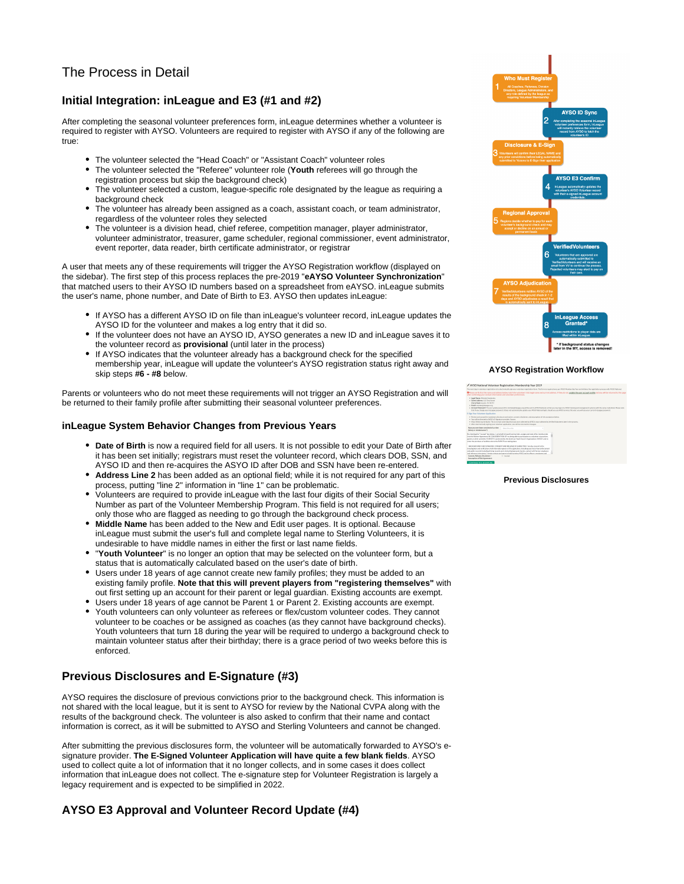## The Process in Detail

## <span id="page-2-0"></span>**Initial Integration: inLeague and E3 (#1 and #2)**

After completing the seasonal volunteer preferences form, inLeague determines whether a volunteer is required to register with AYSO. Volunteers are required to register with AYSO if any of the following are true:

- The volunteer selected the "Head Coach" or "Assistant Coach" volunteer roles
- The volunteer selected the "Referee" volunteer role (**Youth** referees will go through the registration process but skip the background check)
- The volunteer selected a custom, league-specific role designated by the league as requiring a background check
- The volunteer has already been assigned as a coach, assistant coach, or team administrator, regardless of the volunteer roles they selected
- The volunteer is a division head, chief referee, competition manager, player administrator, volunteer administrator, treasurer, game scheduler, regional commissioner, event administrator, event reporter, data reader, birth certificate administrator, or registrar

A user that meets any of these requirements will trigger the AYSO Registration workflow (displayed on the sidebar). The first step of this process replaces the pre-2019 "**eAYSO Volunteer Synchronization**" that matched users to their AYSO ID numbers based on a spreadsheet from eAYSO. inLeague submits the user's name, phone number, and Date of Birth to E3. AYSO then updates inLeague:

- If AYSO has a different AYSO ID on file than inLeague's volunteer record, inLeague updates the AYSO ID for the volunteer and makes a log entry that it did so.
- If the volunteer does not have an AYSO ID, AYSO generates a new ID and inLeague saves it to the volunteer record as **provisional** (until later in the process)
- If AYSO indicates that the volunteer already has a background check for the specified membership year, inLeague will update the volunteer's AYSO registration status right away and skip steps **#6 - #8** below.

Parents or volunteers who do not meet these requirements will not trigger an AYSO Registration and will be returned to their family profile after submitting their seasonal volunteer preferences.

#### <span id="page-2-1"></span>**inLeague System Behavior Changes from Previous Years**

- **Date of Birth** is now a required field for all users. It is not possible to edit your Date of Birth after it has been set initially; registrars must reset the volunteer record, which clears DOB, SSN, and AYSO ID and then re-acquires the ASYO ID after DOB and SSN have been re-entered.
- **Address Line 2** has been added as an optional field; while it is not required for any part of this process, putting "line 2" information in "line 1" can be problematic.
- Volunteers are required to provide inLeague with the last four digits of their Social Security Number as part of the Volunteer Membership Program. This field is not required for all users; only those who are flagged as needing to go through the background check process.
- **Middle Name** has been added to the New and Edit user pages. It is optional. Because inLeague must submit the user's full and complete legal name to Sterling Volunteers, it is undesirable to have middle names in either the first or last name fields.
- "**Youth Volunteer**" is no longer an option that may be selected on the volunteer form, but a status that is automatically calculated based on the user's date of birth.
- Users under 18 years of age cannot create new family profiles; they must be added to an existing family profile. **Note that this will prevent players from "registering themselves"** with out first setting up an account for their parent or legal guardian. Existing accounts are exempt.
- Users under 18 years of age cannot be Parent 1 or Parent 2. Existing accounts are exempt. Youth volunteers can only volunteer as referees or flex/custom volunteer codes. They cannot volunteer to be coaches or be assigned as coaches (as they cannot have background checks). Youth volunteers that turn 18 during the year will be required to undergo a background check to maintain volunteer status after their birthday; there is a grace period of two weeks before this is enforced.

## <span id="page-2-2"></span>**Previous Disclosures and E-Signature (#3)**

AYSO requires the disclosure of previous convictions prior to the background check. This information is not shared with the local league, but it is sent to AYSO for review by the National CVPA along with the results of the background check. The volunteer is also asked to confirm that their name and contact information is correct, as it will be submitted to AYSO and Sterling Volunteers and cannot be changed.

After submitting the previous disclosures form, the volunteer will be automatically forwarded to AYSO's esignature provider. **The E-Signed Volunteer Application will have quite a few blank fields**. AYSO used to collect quite a lot of information that it no longer collects, and in some cases it does collect information that inLeague does not collect. The e-signature step for Volunteer Registration is largely a legacy requirement and is expected to be simplified in 2022.

## <span id="page-2-3"></span>**AYSO E3 Approval and Volunteer Record Update (#4)**



#### **AYSO Registration Workflow**

#### **Previous Disclosures**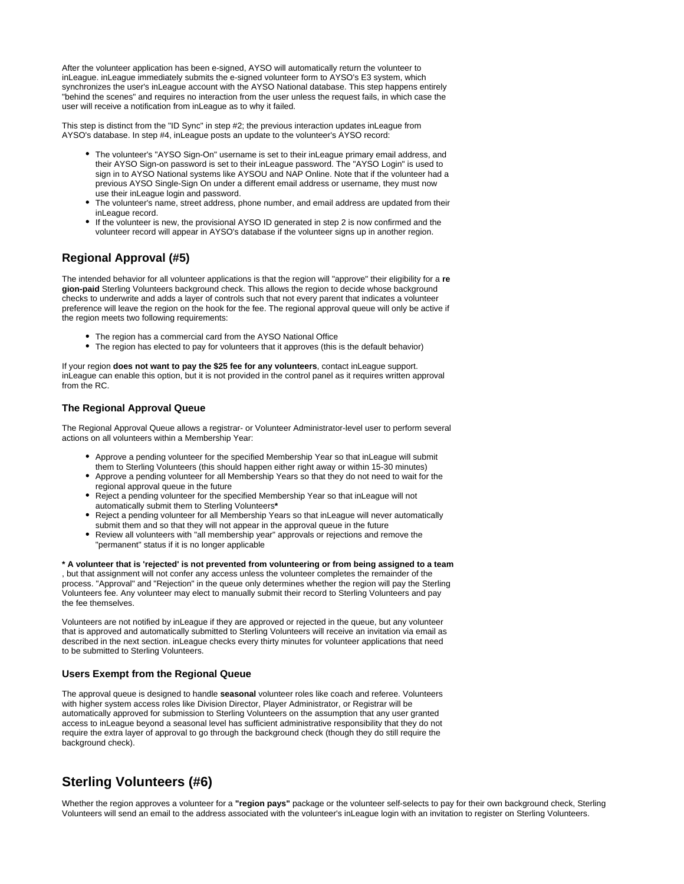After the volunteer application has been e-signed, AYSO will automatically return the volunteer to inLeague. inLeague immediately submits the e-signed volunteer form to AYSO's E3 system, which synchronizes the user's inLeague account with the AYSO National database. This step happens entirely "behind the scenes" and requires no interaction from the user unless the request fails, in which case the user will receive a notification from inLeague as to why it failed.

This step is distinct from the "ID Sync" in step #2; the previous interaction updates inLeague from AYSO's database. In step #4, inLeague posts an update to the volunteer's AYSO record:

- The volunteer's "AYSO Sign-On" username is set to their inLeague primary email address, and their AYSO Sign-on password is set to their inLeague password. The "AYSO Login" is used to sign in to AYSO National systems like AYSOU and NAP Online. Note that if the volunteer had a previous AYSO Single-Sign On under a different email address or username, they must now use their inLeague login and password.
- The volunteer's name, street address, phone number, and email address are updated from their inLeague record.
- If the volunteer is new, the provisional AYSO ID generated in step 2 is now confirmed and the volunteer record will appear in AYSO's database if the volunteer signs up in another region.

## <span id="page-3-0"></span>**Regional Approval (#5)**

The intended behavior for all volunteer applications is that the region will "approve" their eligibility for a **re gion-paid** Sterling Volunteers background check. This allows the region to decide whose background checks to underwrite and adds a layer of controls such that not every parent that indicates a volunteer preference will leave the region on the hook for the fee. The regional approval queue will only be active if the region meets two following requirements:

- The region has a commercial card from the AYSO National Office
- The region has elected to pay for volunteers that it approves (this is the default behavior)

If your region **does not want to pay the \$25 fee for any volunteers**, contact inLeague support. inLeague can enable this option, but it is not provided in the control panel as it requires written approval from the RC.

#### <span id="page-3-1"></span>**The Regional Approval Queue**

The Regional Approval Queue allows a registrar- or Volunteer Administrator-level user to perform several actions on all volunteers within a Membership Year:

- Approve a pending volunteer for the specified Membership Year so that inLeague will submit them to Sterling Volunteers (this should happen either right away or within 15-30 minutes)
- Approve a pending volunteer for all Membership Years so that they do not need to wait for the regional approval queue in the future
- Reject a pending volunteer for the specified Membership Year so that inLeague will not automatically submit them to Sterling Volunteers**\***
- Reject a pending volunteer for all Membership Years so that inLeague will never automatically submit them and so that they will not appear in the approval queue in the future
- Review all volunteers with "all membership year" approvals or rejections and remove the "permanent" status if it is no longer applicable

**\* A volunteer that is 'rejected' is not prevented from volunteering or from being assigned to a team** , but that assignment will not confer any access unless the volunteer completes the remainder of the process. "Approval" and "Rejection" in the queue only determines whether the region will pay the Sterling Volunteers fee. Any volunteer may elect to manually submit their record to Sterling Volunteers and pay the fee themselves.

Volunteers are not notified by inLeague if they are approved or rejected in the queue, but any volunteer that is approved and automatically submitted to Sterling Volunteers will receive an invitation via email as described in the next section. inLeague checks every thirty minutes for volunteer applications that need to be submitted to Sterling Volunteers.

#### <span id="page-3-2"></span>**Users Exempt from the Regional Queue**

The approval queue is designed to handle **seasonal** volunteer roles like coach and referee. Volunteers with higher system access roles like Division Director, Player Administrator, or Registrar will be automatically approved for submission to Sterling Volunteers on the assumption that any user granted access to inLeague beyond a seasonal level has sufficient administrative responsibility that they do not require the extra layer of approval to go through the background check (though they do still require the background check).

## <span id="page-3-3"></span>**Sterling Volunteers (#6)**

Whether the region approves a volunteer for a **"region pays"** package or the volunteer self-selects to pay for their own background check, Sterling Volunteers will send an email to the address associated with the volunteer's inLeague login with an invitation to register on Sterling Volunteers.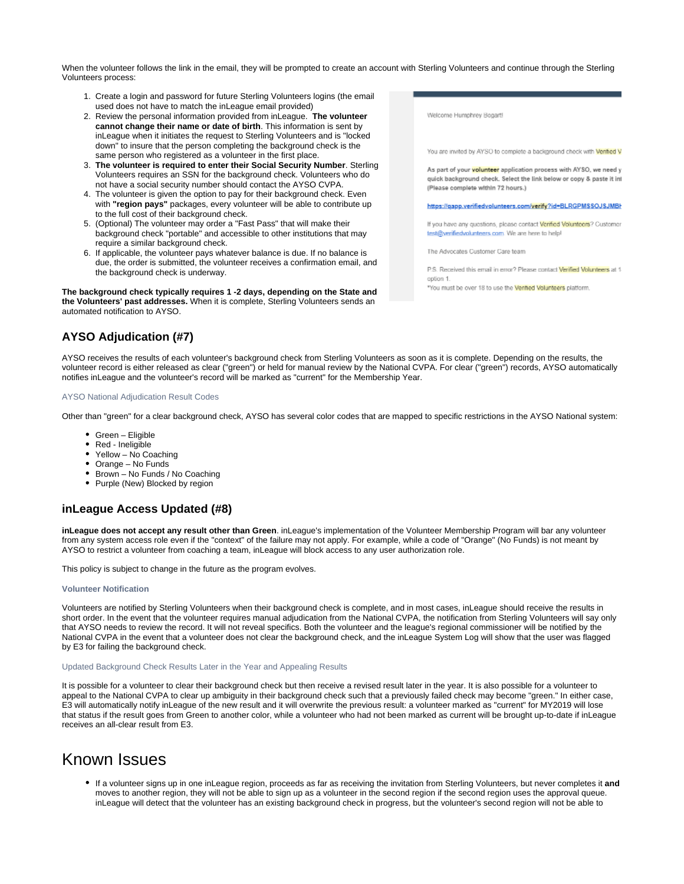When the volunteer follows the link in the email, they will be prompted to create an account with Sterling Volunteers and continue through the Sterling Volunteers process:

- 1. Create a login and password for future Sterling Volunteers logins (the email used does not have to match the inLeague email provided)
- 2. Review the personal information provided from inLeague. **The volunteer cannot change their name or date of birth**. This information is sent by inLeague when it initiates the request to Sterling Volunteers and is "locked down" to insure that the person completing the background check is the same person who registered as a volunteer in the first place.
- 3. **The volunteer is required to enter their Social Security Number**. Sterling Volunteers requires an SSN for the background check. Volunteers who do not have a social security number should contact the AYSO CVPA.
- 4. The volunteer is given the option to pay for their background check. Even with **"region pays"** packages, every volunteer will be able to contribute up to the full cost of their background check.
- 5. (Optional) The volunteer may order a "Fast Pass" that will make their background check "portable" and accessible to other institutions that may require a similar background check.
- 6. If applicable, the volunteer pays whatever balance is due. If no balance is due, the order is submitted, the volunteer receives a confirmation email, and the background check is underway.

**The background check typically requires 1 -2 days, depending on the State and the Volunteers' past addresses.** When it is complete, Sterling Volunteers sends an automated notification to AYSO.

<span id="page-4-0"></span>**AYSO Adjudication (#7)**

AYSO receives the results of each volunteer's background check from Sterling Volunteers as soon as it is complete. Depending on the results, the volunteer record is either released as clear ("green") or held for manual review by the National CVPA. For clear ("green") records, AYSO automatically notifies inLeague and the volunteer's record will be marked as "current" for the Membership Year.

#### <span id="page-4-1"></span>AYSO National Adjudication Result Codes

Other than "green" for a clear background check, AYSO has several color codes that are mapped to specific restrictions in the AYSO National system:

- Green Eligible
- Red Ineligible
- Yellow No Coaching
- Orange No Funds
- Brown No Funds / No Coaching
- Purple (New) Blocked by region

### <span id="page-4-2"></span>**inLeague Access Updated (#8)**

**inLeague does not accept any result other than Green**. inLeague's implementation of the Volunteer Membership Program will bar any volunteer from any system access role even if the "context" of the failure may not apply. For example, while a code of "Orange" (No Funds) is not meant by AYSO to restrict a volunteer from coaching a team, inLeague will block access to any user authorization role.

This policy is subject to change in the future as the program evolves.

#### <span id="page-4-3"></span>**Volunteer Notification**

Volunteers are notified by Sterling Volunteers when their background check is complete, and in most cases, inLeague should receive the results in short order. In the event that the volunteer requires manual adjudication from the National CVPA, the notification from Sterling Volunteers will say only that AYSO needs to review the record. It will not reveal specifics. Both the volunteer and the league's regional commissioner will be notified by the National CVPA in the event that a volunteer does not clear the background check, and the inLeague System Log will show that the user was flagged by E3 for failing the background check.

#### <span id="page-4-4"></span>Updated Background Check Results Later in the Year and Appealing Results

It is possible for a volunteer to clear their background check but then receive a revised result later in the year. It is also possible for a volunteer to appeal to the National CVPA to clear up ambiguity in their background check such that a previously failed check may become "green." In either case, E3 will automatically notify inLeague of the new result and it will overwrite the previous result: a volunteer marked as "current" for MY2019 will lose that status if the result goes from Green to another color, while a volunteer who had not been marked as current will be brought up-to-date if inLeague receives an all-clear result from E3.

## <span id="page-4-5"></span>Known Issues

If a volunteer signs up in one inLeague region, proceeds as far as receiving the invitation from Sterling Volunteers, but never completes it **and** moves to another region, they will not be able to sign up as a volunteer in the second region if the second region uses the approval queue. inLeague will detect that the volunteer has an existing background check in progress, but the volunteer's second region will not be able to

Welcome Humphrey Bogart

You are invited by AYSO to complete a background check with Ventied V

As part of your <mark>volunteer</mark> application process with AYSO, we need y quick background check. Select the link below or copy & paste it int (Please complete within 72 hours.)

https://gapp.verifiedvolunteers.com/verify?id=BLRGPMSSOJSJMBI

If you have any questions, please contact Verified Volunteers? Customer test@verifiedvolunteers.com. We are here to help!

The Advocates Customer Care team

P.S. Received this email in error? Please contact Verified Volunteers at 1 option 1.

"You must be over 18 to use the Ventied Volunteers platform.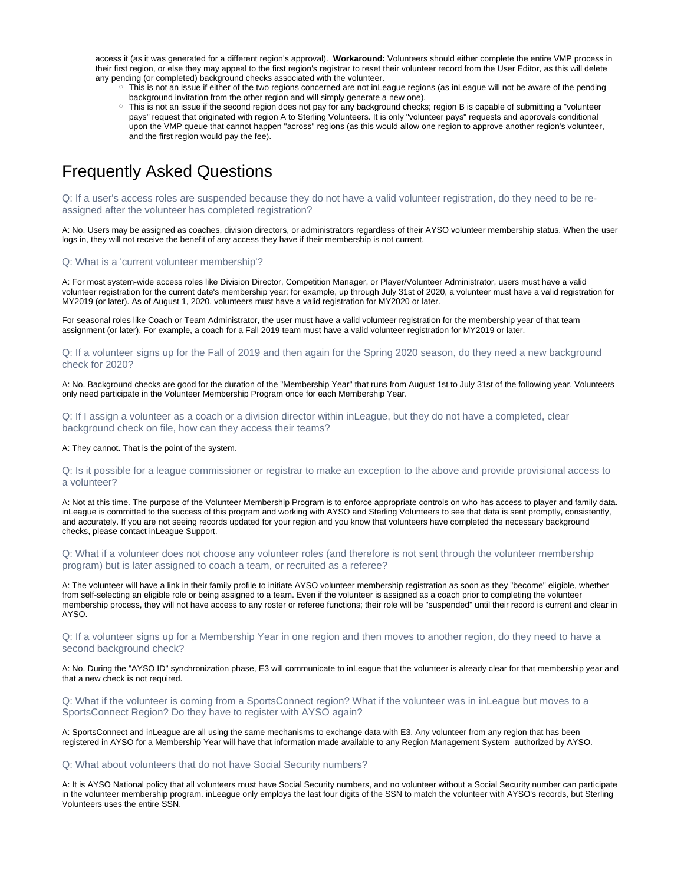access it (as it was generated for a different region's approval). **Workaround:** Volunteers should either complete the entire VMP process in their first region, or else they may appeal to the first region's registrar to reset their volunteer record from the User Editor, as this will delete any pending (or completed) background checks associated with the volunteer.

- This is not an issue if either of the two regions concerned are not inLeague regions (as inLeague will not be aware of the pending background invitation from the other region and will simply generate a new one).
- This is not an issue if the second region does not pay for any background checks; region B is capable of submitting a "volunteer pays" request that originated with region A to Sterling Volunteers. It is only "volunteer pays" requests and approvals conditional upon the VMP queue that cannot happen "across" regions (as this would allow one region to approve another region's volunteer, and the first region would pay the fee).

# <span id="page-5-0"></span>Frequently Asked Questions

<span id="page-5-1"></span>Q: If a user's access roles are suspended because they do not have a valid volunteer registration, do they need to be reassigned after the volunteer has completed registration?

A: No. Users may be assigned as coaches, division directors, or administrators regardless of their AYSO volunteer membership status. When the user logs in, they will not receive the benefit of any access they have if their membership is not current.

#### <span id="page-5-2"></span>Q: What is a 'current volunteer membership'?

A: For most system-wide access roles like Division Director, Competition Manager, or Player/Volunteer Administrator, users must have a valid volunteer registration for the current date's membership year: for example, up through July 31st of 2020, a volunteer must have a valid registration for MY2019 (or later). As of August 1, 2020, volunteers must have a valid registration for MY2020 or later.

For seasonal roles like Coach or Team Administrator, the user must have a valid volunteer registration for the membership year of that team assignment (or later). For example, a coach for a Fall 2019 team must have a valid volunteer registration for MY2019 or later.

<span id="page-5-3"></span>Q: If a volunteer signs up for the Fall of 2019 and then again for the Spring 2020 season, do they need a new background check for 2020?

A: No. Background checks are good for the duration of the "Membership Year" that runs from August 1st to July 31st of the following year. Volunteers only need participate in the Volunteer Membership Program once for each Membership Year.

<span id="page-5-4"></span>Q: If I assign a volunteer as a coach or a division director within inLeague, but they do not have a completed, clear background check on file, how can they access their teams?

A: They cannot. That is the point of the system.

<span id="page-5-5"></span>Q: Is it possible for a league commissioner or registrar to make an exception to the above and provide provisional access to a volunteer?

A: Not at this time. The purpose of the Volunteer Membership Program is to enforce appropriate controls on who has access to player and family data. inLeague is committed to the success of this program and working with AYSO and Sterling Volunteers to see that data is sent promptly, consistently, and accurately. If you are not seeing records updated for your region and you know that volunteers have completed the necessary background checks, please contact inLeague Support.

<span id="page-5-6"></span>Q: What if a volunteer does not choose any volunteer roles (and therefore is not sent through the volunteer membership program) but is later assigned to coach a team, or recruited as a referee?

A: The volunteer will have a link in their family profile to initiate AYSO volunteer membership registration as soon as they "become" eligible, whether from self-selecting an eligible role or being assigned to a team. Even if the volunteer is assigned as a coach prior to completing the volunteer membership process, they will not have access to any roster or referee functions; their role will be "suspended" until their record is current and clear in AYSO.

<span id="page-5-7"></span>Q: If a volunteer signs up for a Membership Year in one region and then moves to another region, do they need to have a second background check?

A: No. During the "AYSO ID" synchronization phase, E3 will communicate to inLeague that the volunteer is already clear for that membership year and that a new check is not required.

<span id="page-5-8"></span>Q: What if the volunteer is coming from a SportsConnect region? What if the volunteer was in inLeague but moves to a SportsConnect Region? Do they have to register with AYSO again?

A: SportsConnect and inLeague are all using the same mechanisms to exchange data with E3. Any volunteer from any region that has been registered in AYSO for a Membership Year will have that information made available to any Region Management System authorized by AYSO.

#### <span id="page-5-9"></span>Q: What about volunteers that do not have Social Security numbers?

<span id="page-5-10"></span>A: It is AYSO National policy that all volunteers must have Social Security numbers, and no volunteer without a Social Security number can participate in the volunteer membership program. inLeague only employs the last four digits of the SSN to match the volunteer with AYSO's records, but Sterling Volunteers uses the entire SSN.